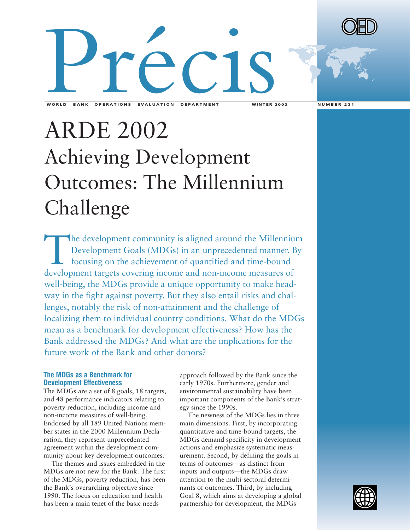



# ARDE 2002 Achieving Development Outcomes: The Millennium Challenge

The development community is aligned around the Millennium Development Goals (MDGs) in an unprecedented manner. By focusing on the achievement of quantified and time-bound development targets covering income and non-income measures of well-being, the MDGs provide a unique opportunity to make headway in the fight against poverty. But they also entail risks and challenges, notably the risk of non-attainment and the challenge of localizing them to individual country conditions. What do the MDGs mean as a benchmark for development effectiveness? How has the Bank addressed the MDGs? And what are the implications for the future work of the Bank and other donors?

## **The MDGs as a Benchmark for Development Effectiveness**

The MDGs are a set of 8 goals, 18 targets, and 48 performance indicators relating to poverty reduction, including income and non-income measures of well-being. Endorsed by all 189 United Nations member states in the 2000 Millennium Declaration, they represent unprecedented agreement within the development community about key development outcomes.

The themes and issues embedded in the MDGs are not new for the Bank. The first of the MDGs, poverty reduction, has been the Bank's overarching objective since 1990. The focus on education and health has been a main tenet of the basic needs

approach followed by the Bank since the early 1970s. Furthermore, gender and environmental sustainability have been important components of the Bank's strategy since the 1990s.

The newness of the MDGs lies in three main dimensions. First, by incorporating quantitative and time-bound targets, the MDGs demand specificity in development actions and emphasize systematic measurement. Second, by defining the goals in terms of outcomes—as distinct from inputs and outputs—the MDGs draw attention to the multi-sectoral determinants of outcomes. Third, by including Goal 8, which aims at developing a global partnership for development, the MDGs

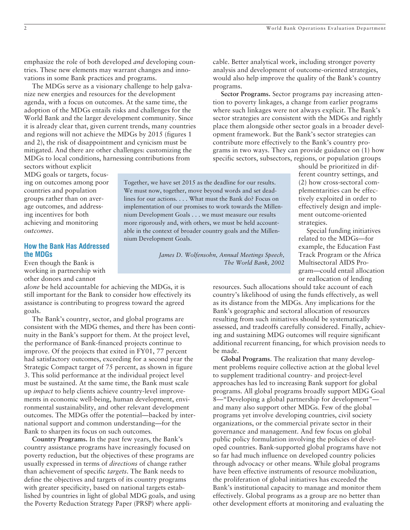emphasize the role of both developed *and* developing countries. These new elements may warrant changes and innovations in some Bank practices and programs.

The MDGs serve as a visionary challenge to help galvanize new energies and resources for the development agenda, with a focus on outcomes. At the same time, the adoption of the MDGs entails risks and challenges for the World Bank and the larger development community. Since it is already clear that, given current trends, many countries and regions will not achieve the MDGs by 2015 (figures 1 and 2), the risk of disappointment and cynicism must be mitigated. And there are other challenges: customizing the MDGs to local conditions, harnessing contributions from

sectors without explicit MDG goals or targets, focusing on outcomes among poor countries and population groups rather than on average outcomes, and addressing incentives for both achieving and monitoring *outcomes*.

### **How the Bank Has Addressed the MDGs**

Even though the Bank is working in partnership with other donors and cannot

*alone* be held accountable for achieving the MDGs, it is still important for the Bank to consider how effectively its assistance is contributing to progress toward the agreed goals.

The Bank's country, sector, and global programs are consistent with the MDG themes, and there has been continuity in the Bank's support for them. At the project level, the performance of Bank-financed projects continue to improve. Of the projects that exited in FY01, 77 percent had satisfactory outcomes, exceeding for a second year the Strategic Compact target of 75 percent, as shown in figure 3. This solid performance at the individual project level must be sustained. At the same time, the Bank must scale up *impact* to help clients achieve country-level improvements in economic well-being, human development, environmental sustainability, and other relevant development outcomes. The MDGs offer the potential—backed by international support and common understanding—for the Bank to sharpen its focus on such outcomes*.*

**Country Programs.** In the past few years, the Bank's country assistance programs have increasingly focused on poverty reduction, but the objectives of these programs are usually expressed in terms of *directions* of change rather than achievement of specific *targets*. The Bank needs to define the objectives and targets of its country programs with greater specificity, based on national targets established by countries in light of global MDG goals, and using the Poverty Reduction Strategy Paper (PRSP) where applicable. Better analytical work, including stronger poverty analysis and development of outcome-oriented strategies, would also help improve the quality of the Bank's country programs.

**Sector Programs.** Sector programs pay increasing attention to poverty linkages, a change from earlier programs where such linkages were not always explicit. The Bank's sector strategies are consistent with the MDGs and rightly place them alongside other sector goals in a broader development framework. But the Bank's sector strategies can contribute more effectively to the Bank's country programs in two ways. They can provide guidance on (1) how specific sectors, subsectors, regions, or population groups

Together, we have set 2015 as the deadline for our results. We must now, together, move beyond words and set deadlines for our actions. . . . What must the Bank do? Focus on implementation of our promises to work towards the Millennium Development Goals . . . we must measure our results more rigorously and, with others, we must be held accountable in the context of broader country goals and the Millennium Development Goals.

> *James D. Wolfensohn, Annual Meetings Speech, The World Bank, 2002*

should be prioritized in different country settings, and (2) how cross-sectoral complementarities can be effectively exploited in order to effectively design and implement outcome-oriented strategies.

Special funding initiatives related to the MDGs—for example, the Education Fast Track Program or the Africa Multisectoral AIDS Program—could entail allocation or reallocation of lending

resources. Such allocations should take account of each country's likelihood of using the funds effectively, as well as its distance from the MDGs. Any implications for the Bank's geographic and sectoral allocation of resources resulting from such initiatives should be systematically assessed, and tradeoffs carefully considered. Finally, achieving and sustaining MDG outcomes will require significant additional recurrent financing, for which provision needs to be made.

**Global Programs**. The realization that many development problems require collective action at the global level to supplement traditional country- and project-level approaches has led to increasing Bank support for global programs. All global programs broadly support MDG Goal 8—"Developing a global partnership for development" and many also support other MDGs. Few of the global programs yet involve developing countries, civil society organizations, or the commercial private sector in their governance and management. And few focus on global public policy formulation involving the policies of developed countries. Bank-supported global programs have not so far had much influence on developed country policies through advocacy or other means. While global programs have been effective instruments of resource mobilization, the proliferation of global initiatives has exceeded the Bank's institutional capacity to manage and monitor them effectively. Global programs as a group are no better than other development efforts at monitoring and evaluating the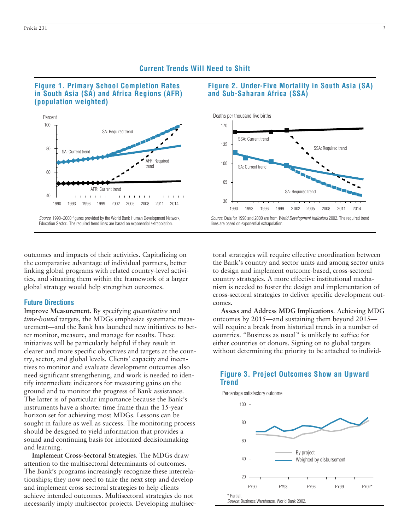

1990 1993 1996 1999 2002 2005 2008 2011 2014

Source: 1990-2000 figures provided by the World Bank Human Development Network, Education Sector.. The required trend lines are based on exponential extrapolation.

AFR: Required trend

AFR: Current trend

## outcomes and impacts of their activities. Capitalizing on the comparative advantage of individual partners, better linking global programs with related country-level activities, and situating them within the framework of a larger global strategy would help strengthen outcomes.

#### **Future Directions**

40

60

SA: Current trend

**Improve Measurement**. By specifying *quantitative* and *time-bound* targets, the MDGs emphasize systematic measurement—and the Bank has launched new initiatives to better monitor, measure, and manage for results. These initiatives will be particularly helpful if they result in clearer and more specific objectives and targets at the country, sector, and global levels. Clients' capacity and incentives to monitor and evaluate development outcomes also need significant strengthening, and work is needed to identify intermediate indicators for measuring gains on the ground and to monitor the progress of Bank assistance. The latter is of particular importance because the Bank's instruments have a shorter time frame than the 15-year horizon set for achieving most MDGs. Lessons can be sought in failure as well as success. The monitoring process should be designed to yield information that provides a sound and continuing basis for informed decisionmaking and learning.

**Implement Cross-Sectoral Strategies**. The MDGs draw attention to the multisectoral determinants of outcomes. The Bank's programs increasingly recognize these interrelationships; they now need to take the next step and develop and implement cross-sectoral strategies to help clients achieve intended outcomes. Multisectoral strategies do not necessarily imply multisector projects. Developing multisec-

# **Figure 2. Under-Five Mortality in South Asia (SA) and Sub-Saharan Africa (SSA)**





lines are based on exponential extrapolation.

**Current Trends Will Need to Shift**

toral strategies will require effective coordination between the Bank's country and sector units and among sector units to design and implement outcome-based, cross-sectoral country strategies. A more effective institutional mechanism is needed to foster the design and implementation of cross-sectoral strategies to deliver specific development outcomes.

**Assess and Address MDG Implications**. Achieving MDG outcomes by 2015—and sustaining them beyond 2015 will require a break from historical trends in a number of countries. "Business as usual" is unlikely to suffice for either countries or donors. Signing on to global targets without determining the priority to be attached to individ-

# Percentage satisfactory outcome **Figure 3. Project Outcomes Show an Upward Trend**